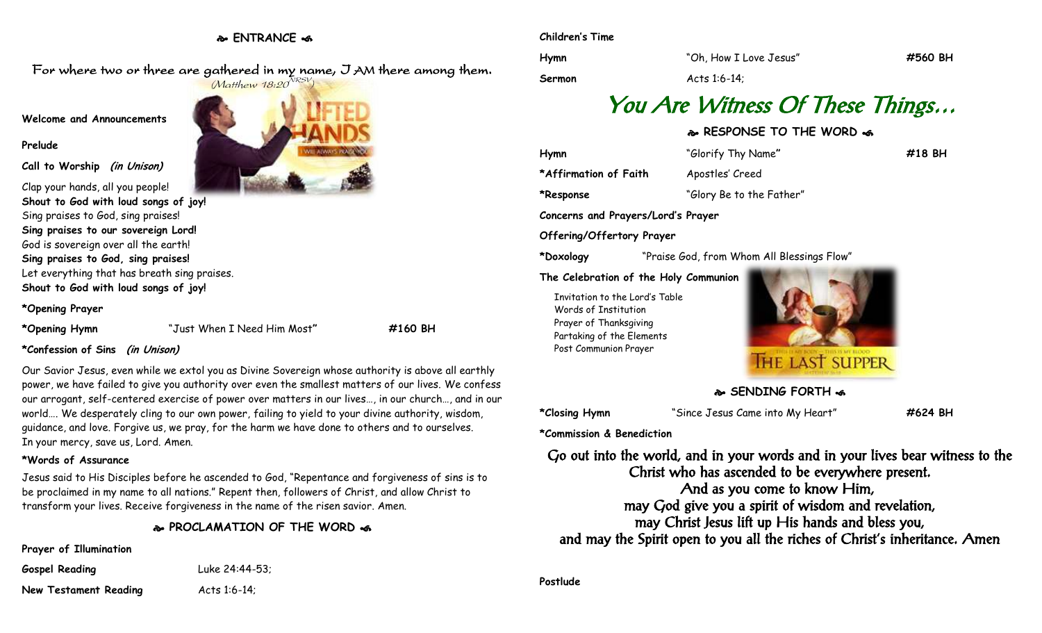## **ENTRANCE**

For where two or three are gathered in my name, I AM there among them.

## **Welcome and Announcements**

#### **Prelude**

**Call to Worship (in Unison)**

Clap your hands, all you people! **Shout to God with loud songs of joy!** Sing praises to God, sing praises! **Sing praises to our sovereign Lord!** God is sovereign over all the earth! **Sing praises to God, sing praises!** Let everything that has breath sing praises. **Shout to God with loud songs of joy!**

## **\*Opening Prayer**

**\*Opening Hymn** "Just When I Need Him Most**" #160 BH**

## **\*Confession of Sins (in Unison)**

Our Savior Jesus, even while we extol you as Divine Sovereign whose authority is above all earthly power, we have failed to give you authority over even the smallest matters of our lives. We confess our arrogant, self-centered exercise of power over matters in our lives…, in our church…, and in our world…. We desperately cling to our own power, failing to yield to your divine authority, wisdom, guidance, and love. Forgive us, we pray, for the harm we have done to others and to ourselves. In your mercy, save us, Lord. Amen.

## **\*Words of Assurance**

Jesus said to His Disciples before he ascended to God, "Repentance and forgiveness of sins is to be proclaimed in my name to all nations." Repent then, followers of Christ, and allow Christ to transform your lives. Receive forgiveness in the name of the risen savior. Amen.

**PROCLAMATION OF THE WORD** 

## **Prayer of Illumination**

**Gospel Reading** Luke 24:44-53;

**New Testament Reading Acts 1:6-14;** 



#### **Children's Time**

**Hymn** "Oh, How I Love Jesus" **#560 BH Sermon**  $\overline{A}$  Acts 1:6-14;

# You Are Witness Of These Things…

## **RESPONSE TO THE WORD**

**Hymn** "Glorify Thy Name**" #18 BH**

\*Affirmation of Faith Apostles' Creed

**\*Response** "Glory Be to the Father"

**Concerns and Prayers/Lord's Prayer**

## **Offering/Offertory Prayer**

**\*Doxology** "Praise God, from Whom All Blessings Flow"

#### **The Celebration of the Holy Communion**

Invitation to the Lord's Table Words of Institution Prayer of Thanksgiving Partaking of the Elements Post Communion Prayer



**SENDING FORTH**  $\omega$ 

**\*Closing Hymn** "Since Jesus Came into My Heart" **#624 BH**

**\*Commission & Benediction**

Go out into the world, and in your words and in your lives bear witness to the Christ who has ascended to be everywhere present. And as you come to know Him, may God give you a spirit of wisdom and revelation, may Christ Jesus lift up His hands and bless you, and may the Spirit open to you all the riches of Christ's inheritance. Amen

**Postlude**